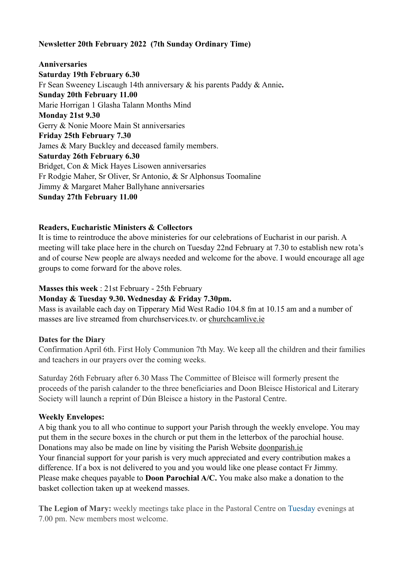### **Newsletter 20th February 2022 (7th Sunday Ordinary Time)**

### **Anniversaries Saturday 19th February 6.30** Fr Sean Sweeney Liscaugh 14th anniversary & his parents Paddy & Annie**. Sunday 20th February 11.00** Marie Horrigan 1 Glasha Talann Months Mind **Monday 21st 9.30** Gerry & Nonie Moore Main St anniversaries **Friday 25th February 7.30** James & Mary Buckley and deceased family members. **Saturday 26th February 6.30** Bridget, Con & Mick Hayes Lisowen anniversaries Fr Rodgie Maher, Sr Oliver, Sr Antonio, & Sr Alphonsus Toomaline Jimmy & Margaret Maher Ballyhane anniversaries **Sunday 27th February 11.00**

#### **Readers, Eucharistic Ministers & Collectors**

It is time to reintroduce the above ministeries for our celebrations of Eucharist in our parish. A meeting will take place here in the church on Tuesday 22nd February at 7.30 to establish new rota's and of course New people are always needed and welcome for the above. I would encourage all age groups to come forward for the above roles.

#### **Masses this week** : 21st February - 25th February

#### **Monday & Tuesday 9.30. Wednesday & Friday 7.30pm.**

Mass is available each day on Tipperary Mid West Radio 104.8 fm at 10.15 am and a number of masses are live streamed from churchservices.tv. or [churchcamlive.ie](http://churchcamlive.ie)

#### **Dates for the Diary**

Confirmation April 6th. First Holy Communion 7th May. We keep all the children and their families and teachers in our prayers over the coming weeks.

Saturday 26th February after 6.30 Mass The Committee of Bleisce will formerly present the proceeds of the parish calander to the three beneficiaries and Doon Bleisce Historical and Literary Society will launch a reprint of Dún Bleisce a history in the Pastoral Centre.

#### **Weekly Envelopes:**

A big thank you to all who continue to support your Parish through the weekly envelope. You may put them in the secure boxes in the church or put them in the letterbox of the parochial house. Donations may also be made on line by visiting the Parish Website [doonparish.ie](http://doonparish.ie) Your financial support for your parish is very much appreciated and every contribution makes a difference. If a box is not delivered to you and you would like one please contact Fr Jimmy. Please make cheques payable to **Doon Parochial A/C.** You make also make a donation to the basket collection taken up at weekend masses.

**The Legion of Mary:** weekly meetings take place in the Pastoral Centre on Tuesday evenings at 7.00 pm. New members most welcome.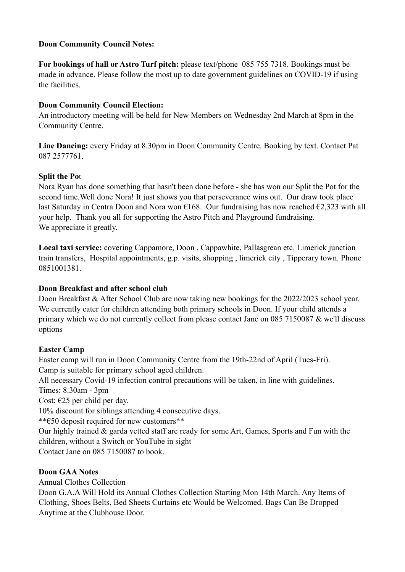#### **Doon Community Council Notes:**

**For bookings of hall or Astro Turf pitch:** please text/phone 085 755 7318. Bookings must be made in advance. Please follow the most up to date government guidelines on COVID-19 if using the facilities.

### **Doon Community Council Election:**

An introductory meeting will be held for New Members on Wednesday 2nd March at 8pm in the Community Centre.

**Line Dancing:** every Friday at 8.30pm in Doon Community Centre. Booking by text. Contact Pat 087 2577761.

### **Split the Po**t

Nora Ryan has done something that hasn't been done before - she has won our Split the Pot for the second time.Well done Nora! It just shows you that perseverance wins out. Our draw took place last Saturday in Centra Doon and Nora won  $\epsilon$ 168. Our fundraising has now reached  $\epsilon$ 2,323 with all your help. Thank you all for supporting the Astro Pitch and Playground fundraising. We appreciate it greatly.

**Local taxi service:** covering Cappamore, Doon , Cappawhite, Pallasgrean etc. Limerick junction train transfers, Hospital appointments, g.p. visits, shopping , limerick city , Tipperary town. Phone 0851001381.

#### **Doon Breakfast and after school club**

Doon Breakfast & After School Club are now taking new bookings for the 2022/2023 school year. We currently cater for children attending both primary schools in Doon. If your child attends a primary which we do not currently collect from please contact Jane on 085 7150087 & we'll discuss options

#### **Easter Camp**

Easter camp will run in Doon Community Centre from the 19th-22nd of April (Tues-Fri). Camp is suitable for primary school aged children. All necessary Covid-19 infection control precautions will be taken, in line with guidelines. Times: 8.30am - 3pm Cost: €25 per child per day. 10% discount for siblings attending 4 consecutive days. \*\*€50 deposit required for new customers\*\* Our highly trained & garda vetted staff are ready for some Art, Games, Sports and Fun with the children, without a Switch or YouTube in sight Contact Jane on 085 7150087 to book.

## **Doon GAA Notes**

Annual Clothes Collection

Doon G.A.A Will Hold its Annual Clothes Collection Starting Mon 14th March. Any Items of Clothing, Shoes Belts, Bed Sheets Curtains etc Would be Welcomed. Bags Can Be Dropped Anytime at the Clubhouse Door.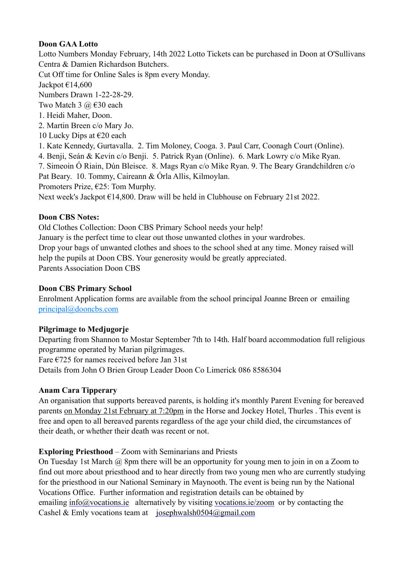### **Doon GAA Lotto**

Lotto Numbers Monday February, 14th 2022 Lotto Tickets can be purchased in Doon at O'Sullivans Centra & Damien Richardson Butchers.

Cut Off time for Online Sales is 8pm every Monday.

Jackpot  $€14,600$ 

Numbers Drawn 1-22-28-29.

Two Match 3  $\omega$   $\in$  30 each

- 1. Heidi Maher, Doon.
- 2. Martin Breen c/o Mary Jo.
- 10 Lucky Dips at  $\epsilon$ 20 each
- 1. Kate Kennedy, Gurtavalla. 2. Tim Moloney, Cooga. 3. Paul Carr, Coonagh Court (Online).
- 4. Benji, Seán & Kevin c/o Benji. 5. Patrick Ryan (Online). 6. Mark Lowry c/o Mike Ryan.

7. Simeoin Ó Riain, Dún Bleisce. 8. Mags Ryan c/o Mike Ryan. 9. The Beary Grandchildren c/o

Pat Beary. 10. Tommy, Caireann & Órla Allis, Kilmoylan.

Promoters Prize,  $E25$ : Tom Murphy.

Next week's Jackpot €14,800. Draw will be held in Clubhouse on February 21st 2022.

### **Doon CBS Notes:**

Old Clothes Collection: Doon CBS Primary School needs your help! January is the perfect time to clear out those unwanted clothes in your wardrobes. Drop your bags of unwanted clothes and shoes to the school shed at any time. Money raised will help the pupils at Doon CBS. Your generosity would be greatly appreciated. Parents Association Doon CBS

## **Doon CBS Primary School**

Enrolment Application forms are available from the school principal Joanne Breen or emailing [principal@dooncbs.com](mailto:principal@dooncbs.com)

### **Pilgrimage to Medjugorje**

Departing from Shannon to Mostar September 7th to 14th. Half board accommodation full religious programme operated by Marian pilgrimages.

Fare €725 for names received before Jan 31st

Details from John O Brien Group Leader Doon Co Limerick 086 8586304

### **Anam Cara Tipperary**

An organisation that supports bereaved parents, is holding it's monthly Parent Evening for bereaved parents on Monday 21st February at 7:20pm in the Horse and Jockey Hotel, Thurles . This event is free and open to all bereaved parents regardless of the age your child died, the circumstances of their death, or whether their death was recent or not.

# **Exploring Priesthood** – Zoom with Seminarians and Priests

On Tuesday 1st March @ 8pm there will be an opportunity for young men to join in on a Zoom to find out more about priesthood and to hear directly from two young men who are currently studying for the priesthood in our National Seminary in Maynooth. The event is being run by the National Vocations Office. Further information and registration details can be obtained by emailing [info@vocations.ie](mailto:info@vocations.ie) alternatively by visiting [vocations.ie/zoom](http://vocations.ie/zoom) or by contacting the Cashel & Emly vocations team at [josephwalsh0504@gmail.com](mailto:josephwalsh0504@gmail.com)